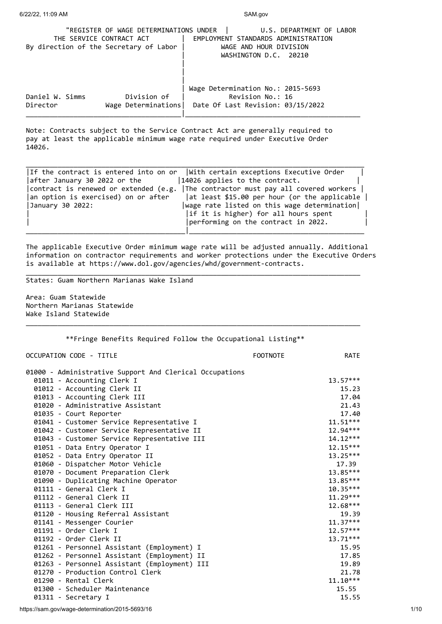| "REGISTER OF WAGE DETERMINATIONS UNDER<br>THE SERVICE CONTRACT ACT<br>By direction of the Secretary of Labor |                                    | U.S. DEPARTMENT OF LABOR<br>EMPLOYMENT STANDARDS ADMINISTRATION<br>WAGE AND HOUR DIVISION<br>WASHINGTON D.C. 20210 |
|--------------------------------------------------------------------------------------------------------------|------------------------------------|--------------------------------------------------------------------------------------------------------------------|
| Daniel W. Simms<br>Director                                                                                  | Division of<br>Wage Determinations | Wage Determination No.: 2015-5693<br>Revision No.: 16<br>Date Of Last Revision: 03/15/2022                         |

Note: Contracts subject to the Service Contract Act are generally required to pay at least the applicable minimum wage rate required under Executive Order 14026.

|                                       | If the contract is entered into on or $\ $ with certain exceptions Executive Order |
|---------------------------------------|------------------------------------------------------------------------------------|
| after January 30 2022 or the          | 14026 applies to the contract.                                                     |
| contract is renewed or extended (e.g. | The contractor must pay all covered workers                                        |
| an option is exercised) on or after   | at least \$15.00 per hour (or the applicable                                       |
| January 30 2022:                      | wage rate listed on this wage determination                                        |
|                                       | if it is higher) for all hours spent                                               |
|                                       | performing on the contract in 2022.                                                |
|                                       |                                                                                    |

The applicable Executive Order minimum wage rate will be adjusted annually. Additional information on contractor requirements and worker protections under the Executive Orders is available at https://www.dol.gov/agencies/whd/government-contracts.

\_\_\_\_\_\_\_\_\_\_\_\_\_\_\_\_\_\_\_\_\_\_\_\_\_\_\_\_\_\_\_\_\_\_\_\_\_\_\_\_\_\_\_\_\_\_\_\_\_\_\_\_\_\_\_\_\_\_\_\_\_\_\_\_\_\_\_\_\_\_\_\_\_\_\_\_\_\_\_\_\_\_\_\_

\_\_\_\_\_\_\_\_\_\_\_\_\_\_\_\_\_\_\_\_\_\_\_\_\_\_\_\_\_\_\_\_\_\_\_\_\_\_\_\_\_\_\_\_\_\_\_\_\_\_\_\_\_\_\_\_\_\_\_\_\_\_\_\_\_\_\_\_\_\_\_\_\_\_\_\_\_\_\_\_\_\_\_\_

States: Guam Northern Marianas Wake Island

Area: Guam Statewide Northern Marianas Statewide Wake Island Statewide

\*\*Fringe Benefits Required Follow the Occupational Listing\*\*

OCCUPATION CODE - TITLE THE RATE RATE RATE RATE

| 01000 - Administrative Support And Clerical Occupations<br>01011 - Accounting Clerk I | $13.57***$ |
|---------------------------------------------------------------------------------------|------------|
|                                                                                       | 15.23      |
| 01012 - Accounting Clerk II                                                           | 17.04      |
| 01013 - Accounting Clerk III<br>01020 - Administrative Assistant                      | 21.43      |
|                                                                                       |            |
| 01035 - Court Reporter                                                                | 17.40      |
| 01041 - Customer Service Representative I                                             | $11.51***$ |
| 01042 - Customer Service Representative II                                            | 12.94***   |
| 01043 - Customer Service Representative III                                           | $14.12***$ |
| 01051 - Data Entry Operator I                                                         | $12.15***$ |
| 01052 - Data Entry Operator II                                                        | $13.25***$ |
| 01060 - Dispatcher Motor Vehicle                                                      | 17.39      |
| 01070 - Document Preparation Clerk                                                    | 13.85***   |
| 01090 - Duplicating Machine Operator                                                  | 13.85***   |
| 01111 - General Clerk I                                                               | 10.35***   |
| 01112 - General Clerk II                                                              | $11.29***$ |
| 01113 - General Clerk III                                                             | 12.68***   |
| 01120 - Housing Referral Assistant                                                    | 19.39      |
| 01141 - Messenger Courier                                                             | $11.37***$ |
| 01191 - Order Clerk I                                                                 | $12.57***$ |
| 01192 - Order Clerk II                                                                | 13.71***   |
| 01261 - Personnel Assistant (Employment) I                                            | 15.95      |
| 01262 - Personnel Assistant (Employment) II                                           | 17.85      |
| 01263 - Personnel Assistant (Employment) III                                          | 19.89      |
| 01270 - Production Control Clerk                                                      | 21.78      |
| 01290 - Rental Clerk                                                                  | $11.10***$ |
| 01300 - Scheduler Maintenance                                                         | 15.55      |
| 01311 - Secretary I                                                                   | 15.55      |
|                                                                                       |            |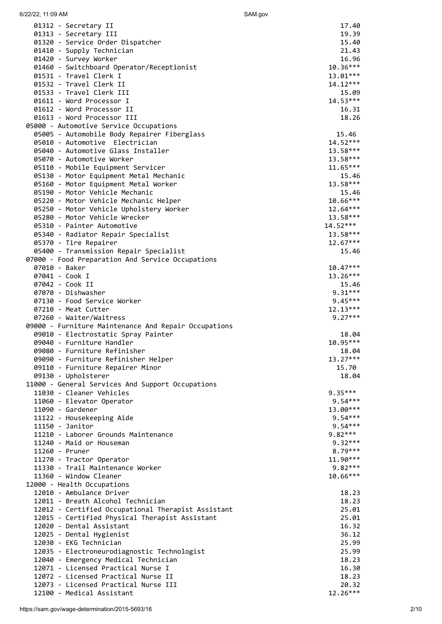| SAM.gov |  |
|---------|--|
|         |  |

| 6/22/22, 11:09 AM                                                             | SAM.gov                |
|-------------------------------------------------------------------------------|------------------------|
| 01312 - Secretary II                                                          | 17.40                  |
| 01313 - Secretary III                                                         | 19.39                  |
| 01320 - Service Order Dispatcher                                              | 15.40                  |
| 01410 - Supply Technician                                                     | 21.43                  |
| 01420 - Survey Worker                                                         | 16.96<br>$10.36***$    |
| 01460 - Switchboard Operator/Receptionist<br>01531 - Travel Clerk I           | 13.01***               |
| 01532 - Travel Clerk II                                                       | $14.12***$             |
| 01533 - Travel Clerk III                                                      | 15.09                  |
| 01611 - Word Processor I                                                      | $14.53***$             |
| 01612 - Word Processor II                                                     | 16.31                  |
| 01613 - Word Processor III                                                    | 18.26                  |
| 05000 - Automotive Service Occupations                                        |                        |
| 05005 - Automobile Body Repairer Fiberglass<br>05010 - Automotive Electrician | 15.46<br>$14.52***$    |
| 05040 - Automotive Glass Installer                                            | $13.58***$             |
| 05070 - Automotive Worker                                                     | $13.58***$             |
| 05110 - Mobile Equipment Servicer                                             | $11.65***$             |
| 05130 - Motor Equipment Metal Mechanic                                        | 15.46                  |
| 05160 - Motor Equipment Metal Worker                                          | $13.58***$             |
| 05190 - Motor Vehicle Mechanic                                                | 15.46                  |
| 05220 - Motor Vehicle Mechanic Helper                                         | $10.66***$             |
| 05250 - Motor Vehicle Upholstery Worker<br>05280 - Motor Vehicle Wrecker      | 12.64***<br>$13.58***$ |
| 05310 - Painter Automotive                                                    | $14.52***$             |
| 05340 - Radiator Repair Specialist                                            | $13.58***$             |
| 05370 - Tire Repairer                                                         | $12.67***$             |
| 05400 - Transmission Repair Specialist                                        | 15.46                  |
| 07000 - Food Preparation And Service Occupations                              |                        |
| 07010 - Baker                                                                 | $10.47***$             |
| 07041 - Cook I<br>07042 - Cook II                                             | 13.26***<br>15.46      |
| 07070 - Dishwasher                                                            | $9.31***$              |
| 07130 - Food Service Worker                                                   | $9.45***$              |
| 07210 - Meat Cutter                                                           | $12.13***$             |
| 07260 - Waiter/Waitress                                                       | $9.27***$              |
| 09000 - Furniture Maintenance And Repair Occupations                          |                        |
| 09010 - Electrostatic Spray Painter                                           | 18.04                  |
| 09040 - Furniture Handler<br>09080 - Furniture Refinisher                     | 10.95***<br>18.04      |
| 09090 - Furniture Refinisher Helper                                           | $13.27***$             |
| 09110 - Furniture Repairer Minor                                              | 15.70                  |
| 09130 - Upholsterer                                                           | 18.04                  |
| 11000 - General Services And Support Occupations                              |                        |
| 11030 - Cleaner Vehicles                                                      | $9.35***$              |
| 11060 - Elevator Operator                                                     | $9.54***$              |
| 11090 - Gardener                                                              | 13.00***<br>$9.54***$  |
| 11122 - Housekeeping Aide<br>11150 - Janitor                                  | $9.54***$              |
| 11210 - Laborer Grounds Maintenance                                           | $9.82***$              |
| 11240 - Maid or Houseman                                                      | 9.32***                |
| 11260 - Pruner                                                                | 8.79***                |
| 11270 - Tractor Operator                                                      | $11.90***$             |
| 11330 - Trail Maintenance Worker                                              | $9.82***$              |
| 11360 - Window Cleaner                                                        | 10.66***               |
| 12000 - Health Occupations<br>12010 - Ambulance Driver                        | 18.23                  |
| 12011 - Breath Alcohol Technician                                             | 18.23                  |
| 12012 - Certified Occupational Therapist Assistant                            | 25.01                  |
| 12015 - Certified Physical Therapist Assistant                                | 25.01                  |
| 12020 - Dental Assistant                                                      | 16.32                  |
| 12025 - Dental Hygienist                                                      | 36.12                  |
| 12030 - EKG Technician                                                        | 25.99                  |
| 12035 - Electroneurodiagnostic Technologist                                   | 25.99<br>18.23         |
| 12040 - Emergency Medical Technician<br>12071 - Licensed Practical Nurse I    | 16.30                  |
| 12072 - Licensed Practical Nurse II                                           | 18.23                  |
| 12073 - Licensed Practical Nurse III                                          | 20.32                  |
| 12100 - Medical Assistant                                                     | $12.26***$             |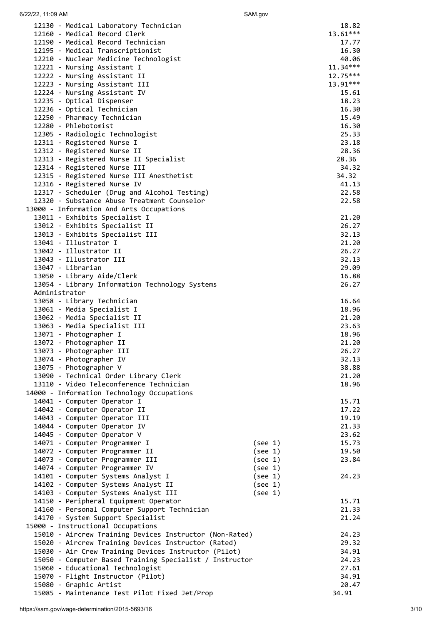6/22/22, 11:09 AM SAM.gov

| 12130 - Medical Laboratory Technician                   |         | 18.82          |
|---------------------------------------------------------|---------|----------------|
| 12160 - Medical Record Clerk                            |         | $13.61***$     |
| 12190 - Medical Record Technician                       |         | 17.77          |
| 12195 - Medical Transcriptionist                        |         | 16.30          |
| 12210 - Nuclear Medicine Technologist                   |         | 40.06          |
| 12221 - Nursing Assistant I                             |         | $11.34***$     |
| 12222 - Nursing Assistant II                            |         | $12.75***$     |
| 12223 - Nursing Assistant III                           |         | 13.91***       |
| 12224 - Nursing Assistant IV                            |         | 15.61          |
| 12235 - Optical Dispenser                               |         | 18.23          |
| 12236 - Optical Technician                              |         | 16.30          |
| 12250 - Pharmacy Technician                             |         | 15.49          |
| 12280 - Phlebotomist                                    |         | 16.30          |
| 12305 - Radiologic Technologist                         |         | 25.33          |
| 12311 - Registered Nurse I                              |         | 23.18          |
| 12312 - Registered Nurse II                             |         | 28.36          |
| 12313 - Registered Nurse II Specialist                  |         | 28.36          |
| 12314 - Registered Nurse III                            |         | 34.32          |
| 12315 - Registered Nurse III Anesthetist                |         | 34.32          |
| 12316 - Registered Nurse IV                             |         | 41.13          |
| 12317 - Scheduler (Drug and Alcohol Testing)            |         | 22.58          |
| 12320 - Substance Abuse Treatment Counselor             |         | 22.58          |
| 13000 - Information And Arts Occupations                |         |                |
| 13011 - Exhibits Specialist I                           |         | 21.20          |
| 13012 - Exhibits Specialist II                          |         | 26.27          |
| 13013 - Exhibits Specialist III                         |         | 32.13          |
| 13041 - Illustrator I                                   |         | 21.20          |
| 13042 - Illustrator II<br>13043 - Illustrator III       |         | 26.27          |
| 13047 - Librarian                                       |         | 32.13<br>29.09 |
| 13050 - Library Aide/Clerk                              |         | 16.88          |
| 13054 - Library Information Technology Systems          |         | 26.27          |
| Administrator                                           |         |                |
| 13058 - Library Technician                              |         | 16.64          |
| 13061 - Media Specialist I                              |         | 18.96          |
| 13062 - Media Specialist II                             |         | 21.20          |
| 13063 - Media Specialist III                            |         | 23.63          |
| 13071 - Photographer I                                  |         | 18.96          |
| 13072 - Photographer II                                 |         | 21.20          |
| 13073 - Photographer III                                |         | 26.27          |
| 13074 - Photographer IV                                 |         | 32.13          |
| 13075 - Photographer V                                  |         | 38.88          |
| 13090 - Technical Order Library Clerk                   |         | 21.20          |
| 13110 - Video Teleconference Technician                 |         | 18.96          |
| 14000 - Information Technology Occupations              |         |                |
| 14041 - Computer Operator I                             |         | 15.71          |
| 14042 - Computer Operator II                            |         | 17.22          |
| 14043 - Computer Operator III                           |         | 19.19          |
| 14044 - Computer Operator IV                            |         | 21.33          |
| 14045 - Computer Operator V                             |         | 23.62          |
| 14071 - Computer Programmer I                           | (see 1) | 15.73          |
| 14072 - Computer Programmer II                          | (see 1) | 19.50          |
| 14073 - Computer Programmer III                         | (see 1) | 23.84          |
| 14074 - Computer Programmer IV                          | (see 1) |                |
| 14101 - Computer Systems Analyst I                      | (see 1) | 24.23          |
| 14102 - Computer Systems Analyst II                     | (see 1) |                |
| 14103 - Computer Systems Analyst III                    | (see 1) |                |
| 14150 - Peripheral Equipment Operator                   |         | 15.71          |
| 14160 - Personal Computer Support Technician            |         | 21.33          |
| 14170 - System Support Specialist                       |         | 21.24          |
| 15000 - Instructional Occupations                       |         |                |
| 15010 - Aircrew Training Devices Instructor (Non-Rated) |         | 24.23          |
| 15020 - Aircrew Training Devices Instructor (Rated)     |         | 29.32          |
| 15030 - Air Crew Training Devices Instructor (Pilot)    |         | 34.91          |
| 15050 - Computer Based Training Specialist / Instructor |         | 24.23          |
| 15060 - Educational Technologist                        |         | 27.61          |
| 15070 - Flight Instructor (Pilot)                       |         | 34.91          |
| 15080 - Graphic Artist                                  |         | 20.47          |
| 15085 - Maintenance Test Pilot Fixed Jet/Prop           |         | 34.91          |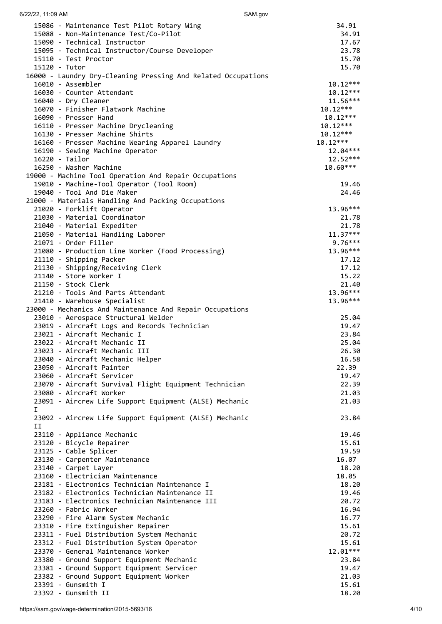| 6/22/22, 11:09 AM                                                                      | SAM.gov                  |
|----------------------------------------------------------------------------------------|--------------------------|
| 15086 - Maintenance Test Pilot Rotary Wing                                             | 34.91                    |
| 15088 - Non-Maintenance Test/Co-Pilot                                                  | 34.91                    |
| 15090 - Technical Instructor<br>15095 - Technical Instructor/Course Developer          | 17.67<br>23.78           |
| 15110 - Test Proctor                                                                   | 15.70                    |
| 15120 - Tutor                                                                          | 15.70                    |
| 16000 - Laundry Dry-Cleaning Pressing And Related Occupations                          |                          |
| 16010 - Assembler                                                                      | $10.12***$               |
| 16030 - Counter Attendant<br>16040 - Dry Cleaner                                       | $10.12***$<br>$11.56***$ |
| 16070 - Finisher Flatwork Machine                                                      | $10.12***$               |
| 16090 - Presser Hand                                                                   | $10.12***$               |
| 16110 - Presser Machine Drycleaning                                                    | $10.12***$               |
| 16130 - Presser Machine Shirts                                                         | $10.12***$               |
| 16160 - Presser Machine Wearing Apparel Laundry<br>16190 - Sewing Machine Operator     | $10.12***$<br>$12.04***$ |
| 16220 - Tailor                                                                         | $12.52***$               |
| 16250 - Washer Machine                                                                 | $10.60***$               |
| 19000 - Machine Tool Operation And Repair Occupations                                  |                          |
| 19010 - Machine-Tool Operator (Tool Room)                                              | 19.46                    |
| 19040 - Tool And Die Maker<br>21000 - Materials Handling And Packing Occupations       | 24.46                    |
| 21020 - Forklift Operator                                                              | 13.96***                 |
| 21030 - Material Coordinator                                                           | 21.78                    |
| 21040 - Material Expediter                                                             | 21.78                    |
| 21050 - Material Handling Laborer                                                      | $11.37***$               |
| 21071 - Order Filler<br>21080 - Production Line Worker (Food Processing)               | $9.76***$<br>13.96***    |
| 21110 - Shipping Packer                                                                | 17.12                    |
| 21130 - Shipping/Receiving Clerk                                                       | 17.12                    |
| 21140 - Store Worker I                                                                 | 15.22                    |
| 21150 - Stock Clerk<br>21210 - Tools And Parts Attendant                               | 21.40<br>13.96***        |
| 21410 - Warehouse Specialist                                                           | 13.96***                 |
| 23000 - Mechanics And Maintenance And Repair Occupations                               |                          |
| 23010 - Aerospace Structural Welder                                                    | 25.04                    |
| 23019 - Aircraft Logs and Records Technician                                           | 19.47                    |
| 23021 - Aircraft Mechanic I<br>23022 - Aircraft Mechanic II                            | 23.84<br>25.04           |
| 23023 - Aircraft Mechanic III                                                          | 26.30                    |
| 23040 - Aircraft Mechanic Helper                                                       | 16.58                    |
| 23050 - Aircraft Painter                                                               | 22.39                    |
| 23060 - Aircraft Servicer<br>23070 - Aircraft Survival Flight Equipment Technician     | 19.47<br>22.39           |
| 23080 - Aircraft Worker                                                                | 21.03                    |
| 23091 - Aircrew Life Support Equipment (ALSE) Mechanic                                 | 21.03                    |
| $\mathbf{I}$                                                                           |                          |
| 23092 - Aircrew Life Support Equipment (ALSE) Mechanic<br>IJ                           | 23.84                    |
| 23110 - Appliance Mechanic                                                             | 19.46                    |
| 23120 - Bicycle Repairer                                                               | 15.61                    |
| 23125 - Cable Splicer                                                                  | 19.59                    |
| 23130 - Carpenter Maintenance<br>23140 - Carpet Layer                                  | 16.07<br>18.20           |
| 23160 - Electrician Maintenance                                                        | 18.05                    |
| 23181 - Electronics Technician Maintenance I                                           | 18.20                    |
| 23182 - Electronics Technician Maintenance II                                          | 19.46                    |
| 23183 - Electronics Technician Maintenance III                                         | 20.72                    |
| 23260 - Fabric Worker<br>23290 - Fire Alarm System Mechanic                            | 16.94<br>16.77           |
| 23310 - Fire Extinguisher Repairer                                                     | 15.61                    |
| 23311 - Fuel Distribution System Mechanic                                              | 20.72                    |
| 23312 - Fuel Distribution System Operator                                              | 15.61                    |
| 23370 - General Maintenance Worker                                                     | 12.01***<br>23.84        |
| 23380 - Ground Support Equipment Mechanic<br>23381 - Ground Support Equipment Servicer | 19.47                    |
| 23382 - Ground Support Equipment Worker                                                | 21.03                    |
| 23391 - Gunsmith I                                                                     | 15.61                    |
| 23392 - Gunsmith II                                                                    | 18.20                    |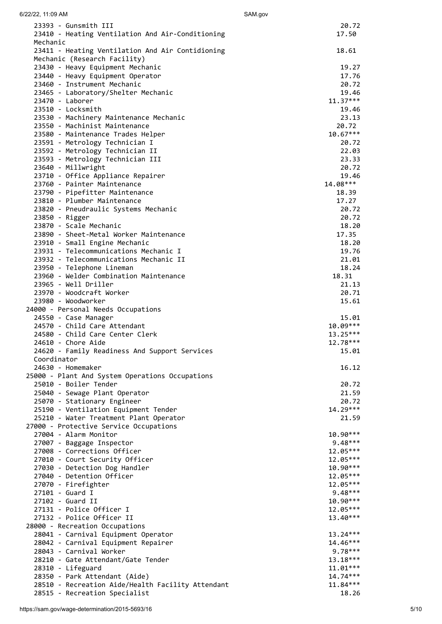| 6/22/22, 11:09 AM                                                                | SAM.gov              |
|----------------------------------------------------------------------------------|----------------------|
| 23393 - Gunsmith III                                                             | 20.72                |
| 23410 - Heating Ventilation And Air-Conditioning                                 | 17.50                |
| Mechanic                                                                         |                      |
| 23411 - Heating Ventilation And Air Contidioning<br>Mechanic (Research Facility) | 18.61                |
| 23430 - Heavy Equipment Mechanic                                                 | 19.27                |
| 23440 - Heavy Equipment Operator                                                 | 17.76                |
| 23460 - Instrument Mechanic                                                      | 20.72                |
| 23465 - Laboratory/Shelter Mechanic                                              | 19.46                |
| 23470 - Laborer                                                                  | $11.37***$           |
| 23510 - Locksmith<br>23530 - Machinery Maintenance Mechanic                      | 19.46<br>23.13       |
| 23550 - Machinist Maintenance                                                    | 20.72                |
| 23580 - Maintenance Trades Helper                                                | $10.67***$           |
| 23591 - Metrology Technician I                                                   | 20.72                |
| 23592 - Metrology Technician II                                                  | 22.03                |
| 23593 - Metrology Technician III                                                 | 23.33                |
| 23640 - Millwright                                                               | 20.72                |
| 23710 - Office Appliance Repairer<br>23760 - Painter Maintenance                 | 19.46<br>14.08***    |
| 23790 - Pipefitter Maintenance                                                   | 18.39                |
| 23810 - Plumber Maintenance                                                      | 17.27                |
| 23820 - Pneudraulic Systems Mechanic                                             | 20.72                |
| 23850 - Rigger                                                                   | 20.72                |
| 23870 - Scale Mechanic                                                           | 18.20                |
| 23890 - Sheet-Metal Worker Maintenance                                           | 17.35                |
| 23910 - Small Engine Mechanic                                                    | 18.20                |
| 23931 - Telecommunications Mechanic I<br>23932 - Telecommunications Mechanic II  | 19.76<br>21.01       |
| 23950 - Telephone Lineman                                                        | 18.24                |
| 23960 - Welder Combination Maintenance                                           | 18.31                |
| 23965 - Well Driller                                                             | 21.13                |
| 23970 - Woodcraft Worker                                                         | 20.71                |
| 23980 - Woodworker                                                               | 15.61                |
| 24000 - Personal Needs Occupations                                               |                      |
| 24550 - Case Manager<br>24570 - Child Care Attendant                             | 15.01<br>$10.09***$  |
| 24580 - Child Care Center Clerk                                                  | 13.25***             |
| 24610 - Chore Aide                                                               | 12.78***             |
| 24620 - Family Readiness And Support Services                                    | 15.01                |
| Coordinator                                                                      |                      |
| 24630 - Homemaker                                                                | 16.12                |
| 25000 - Plant And System Operations Occupations                                  |                      |
| 25010 - Boiler Tender<br>25040 - Sewage Plant Operator                           | 20.72<br>21.59       |
| 25070 - Stationary Engineer                                                      | 20.72                |
| 25190 - Ventilation Equipment Tender                                             | 14.29***             |
| 25210 - Water Treatment Plant Operator                                           | 21.59                |
| 27000 - Protective Service Occupations                                           |                      |
| 27004 - Alarm Monitor                                                            | 10.90***             |
| 27007 - Baggage Inspector                                                        | $9.48***$            |
| 27008 - Corrections Officer<br>27010 - Court Security Officer                    | 12.05***<br>12.05*** |
| 27030 - Detection Dog Handler                                                    | 10.90***             |
| 27040 - Detention Officer                                                        | 12.05***             |
| 27070 - Firefighter                                                              | 12.05***             |
| 27101 - Guard I                                                                  | $9.48***$            |
| 27102 - Guard II                                                                 | 10.90***             |
| 27131 - Police Officer I                                                         | 12.05***             |
| 27132 - Police Officer II                                                        | 13.40***             |
| 28000 - Recreation Occupations<br>28041 - Carnival Equipment Operator            | $13.24***$           |
| 28042 - Carnival Equipment Repairer                                              | 14.46***             |
| 28043 - Carnival Worker                                                          | $9.78***$            |
| 28210 - Gate Attendant/Gate Tender                                               | $13.18***$           |
| 28310 - Lifeguard                                                                | $11.01***$           |
| 28350 - Park Attendant (Aide)                                                    | $14.74***$           |
| 28510 - Recreation Aide/Health Facility Attendant                                | $11.84***$           |
| 28515 - Recreation Specialist                                                    | 18.26                |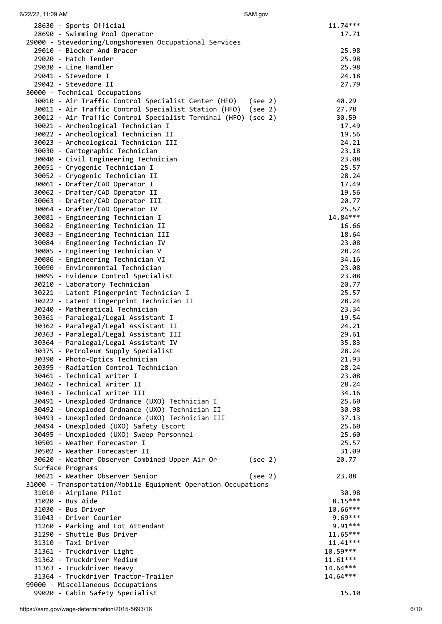SAM.gov

| 28630 - Sports Official                                                     |         | $11.74***$               |
|-----------------------------------------------------------------------------|---------|--------------------------|
| 28690 - Swimming Pool Operator                                              |         | 17.71                    |
| 29000 - Stevedoring/Longshoremen Occupational Services                      |         |                          |
| 29010 - Blocker And Bracer                                                  |         | 25.98                    |
| 29020 - Hatch Tender<br>29030 - Line Handler                                |         | 25.98<br>25.98           |
| 29041 - Stevedore I                                                         |         | 24.18                    |
| 29042 - Stevedore II                                                        |         | 27.79                    |
| 30000 - Technical Occupations                                               |         |                          |
| 30010 - Air Traffic Control Specialist Center (HFO) (see 2)                 |         | 40.29                    |
| 30011 - Air Traffic Control Specialist Station (HFO)                        | (see 2) | 27.78                    |
| 30012 - Air Traffic Control Specialist Terminal (HFO) (see 2)               |         | 30.59                    |
| 30021 - Archeological Technician I                                          |         | 17.49                    |
| 30022 - Archeological Technician II<br>30023 - Archeological Technician III |         | 19.56<br>24.21           |
| 30030 - Cartographic Technician                                             |         | 23.18                    |
| 30040 - Civil Engineering Technician                                        |         | 23.08                    |
| 30051 - Cryogenic Technician I                                              |         | 25.57                    |
| 30052 - Cryogenic Technician II                                             |         | 28.24                    |
| 30061 - Drafter/CAD Operator I                                              |         | 17.49                    |
| 30062 - Drafter/CAD Operator II                                             |         | 19.56                    |
| 30063 - Drafter/CAD Operator III                                            |         | 20.77                    |
| 30064 - Drafter/CAD Operator IV                                             |         | 25.57                    |
| 30081 - Engineering Technician I<br>30082 - Engineering Technician II       |         | $14.84***$<br>16.66      |
| 30083 - Engineering Technician III                                          |         | 18.64                    |
| 30084 - Engineering Technician IV                                           |         | 23.08                    |
| 30085 - Engineering Technician V                                            |         | 28.24                    |
| 30086 - Engineering Technician VI                                           |         | 34.16                    |
| 30090 - Environmental Technician                                            |         | 23.08                    |
| 30095 - Evidence Control Specialist                                         |         | 23.08                    |
| 30210 - Laboratory Technician                                               |         | 20.77                    |
| 30221 - Latent Fingerprint Technician I                                     |         | 25.57                    |
| 30222 - Latent Fingerprint Technician II<br>30240 - Mathematical Technician |         | 28.24                    |
| 30361 - Paralegal/Legal Assistant I                                         |         | 23.34<br>19.54           |
| 30362 - Paralegal/Legal Assistant II                                        |         | 24.21                    |
| 30363 - Paralegal/Legal Assistant III                                       |         | 29.61                    |
| 30364 - Paralegal/Legal Assistant IV                                        |         | 35.83                    |
| 30375 - Petroleum Supply Specialist                                         |         | 28.24                    |
| 30390 - Photo-Optics Technician                                             |         | 21.93                    |
| 30395 - Radiation Control Technician                                        |         | 28.24                    |
| 30461 - Technical Writer I                                                  |         | 23.08                    |
| 30462 - Technical Writer II<br>30463 - Technical Writer III                 |         | 28.24<br>34.16           |
| 30491 - Unexploded Ordnance (UXO) Technician I                              |         | 25.60                    |
| 30492 - Unexploded Ordnance (UXO) Technician II                             |         | 30.98                    |
| 30493 - Unexploded Ordnance (UXO) Technician III                            |         | 37.13                    |
| 30494 - Unexploded (UXO) Safety Escort                                      |         | 25.60                    |
| 30495 - Unexploded (UXO) Sweep Personnel                                    |         | 25.60                    |
| 30501 - Weather Forecaster I                                                |         | 25.57                    |
| 30502 - Weather Forecaster II                                               |         | 31.09                    |
| 30620 - Weather Observer Combined Upper Air Or<br>Surface Programs          | (see 2) | 20.77                    |
| 30621 - Weather Observer Senior                                             | (see 2) | 23.08                    |
| 31000 - Transportation/Mobile Equipment Operation Occupations               |         |                          |
| 31010 - Airplane Pilot                                                      |         | 30.98                    |
| 31020 - Bus Aide                                                            |         | $8.15***$                |
| 31030 - Bus Driver                                                          |         | $10.66***$               |
| 31043 - Driver Courier                                                      |         | $9.69***$                |
| 31260 - Parking and Lot Attendant                                           |         | $9.91***$                |
| 31290 - Shuttle Bus Driver<br>31310 - Taxi Driver                           |         | $11.65***$<br>$11.41***$ |
| 31361 - Truckdriver Light                                                   |         | 10.59***                 |
| 31362 - Truckdriver Medium                                                  |         | $11.61***$               |
| 31363 - Truckdriver Heavy                                                   |         | $14.64***$               |
| 31364 - Truckdriver Tractor-Trailer                                         |         | 14.64***                 |
| 99000 - Miscellaneous Occupations                                           |         |                          |
| 99020 - Cabin Safety Specialist                                             |         | 15.10                    |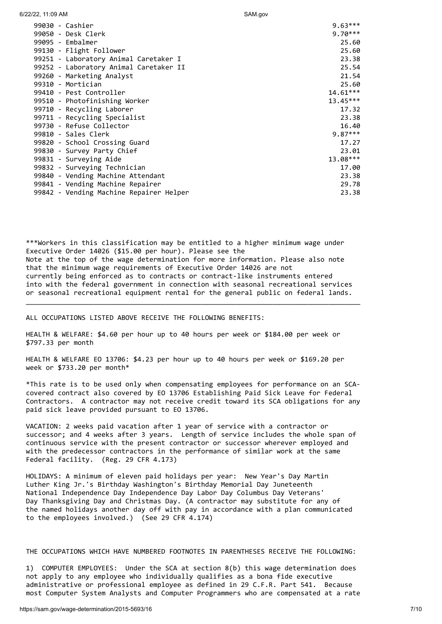| 6/22/22, 11:09 AM                       | SAM.gov    |
|-----------------------------------------|------------|
| 99030 - Cashier                         | $9.63***$  |
| 99050 - Desk Clerk                      | $9.70***$  |
| 99095 - Embalmer                        | 25.60      |
| 99130 - Flight Follower                 | 25.60      |
| 99251 - Laboratory Animal Caretaker I   | 23.38      |
| 99252 - Laboratory Animal Caretaker II  | 25.54      |
| 99260 - Marketing Analyst               | 21.54      |
| 99310 - Mortician                       | 25.60      |
| 99410 - Pest Controller                 | $14.61***$ |
| 99510 - Photofinishing Worker           | $13.45***$ |
| 99710 - Recycling Laborer               | 17.32      |
| 99711 - Recycling Specialist            | 23.38      |
| 99730 - Refuse Collector                | 16.40      |
| 99810 - Sales Clerk                     | $9.87***$  |
| 99820 - School Crossing Guard           | 17.27      |
| 99830 - Survey Party Chief              | 23.01      |
| 99831 - Surveying Aide                  | $13.08***$ |
| 99832 - Surveying Technician            | 17.00      |
| 99840 - Vending Machine Attendant       | 23.38      |
| 99841 - Vending Machine Repairer        | 29.78      |
| 99842 - Vending Machine Repairer Helper | 23.38      |

\*\*\*Workers in this classification may be entitled to a higher minimum wage under Executive Order 14026 (\$15.00 per hour). Please see the Note at the top of the wage determination for more information. Please also note that the minimum wage requirements of Executive Order 14026 are not currently being enforced as to contracts or contract-like instruments entered into with the federal government in connection with seasonal recreational services or seasonal recreational equipment rental for the general public on federal lands.

\_\_\_\_\_\_\_\_\_\_\_\_\_\_\_\_\_\_\_\_\_\_\_\_\_\_\_\_\_\_\_\_\_\_\_\_\_\_\_\_\_\_\_\_\_\_\_\_\_\_\_\_\_\_\_\_\_\_\_\_\_\_\_\_\_\_\_\_\_\_\_\_\_\_\_\_\_\_\_\_\_\_\_\_

ALL OCCUPATIONS LISTED ABOVE RECEIVE THE FOLLOWING BENEFITS:

HEALTH & WELFARE: \$4.60 per hour up to 40 hours per week or \$184.00 per week or \$797.33 per month

HEALTH & WELFARE EO 13706: \$4.23 per hour up to 40 hours per week or \$169.20 per week or \$733.20 per month\*

\*This rate is to be used only when compensating employees for performance on an SCAcovered contract also covered by EO 13706 Establishing Paid Sick Leave for Federal Contractors. A contractor may not receive credit toward its SCA obligations for any paid sick leave provided pursuant to EO 13706.

VACATION: 2 weeks paid vacation after 1 year of service with a contractor or successor; and 4 weeks after 3 years. Length of service includes the whole span of continuous service with the present contractor or successor wherever employed and with the predecessor contractors in the performance of similar work at the same Federal facility. (Reg. 29 CFR 4.173)

HOLIDAYS: A minimum of eleven paid holidays per year: New Year's Day Martin Luther King Jr.'s Birthday Washington's Birthday Memorial Day Juneteenth National Independence Day Independence Day Labor Day Columbus Day Veterans' Day Thanksgiving Day and Christmas Day. (A contractor may substitute for any of the named holidays another day off with pay in accordance with a plan communicated to the employees involved.) (See 29 CFR 4.174)

# THE OCCUPATIONS WHICH HAVE NUMBERED FOOTNOTES IN PARENTHESES RECEIVE THE FOLLOWING:

1) COMPUTER EMPLOYEES: Under the SCA at section 8(b) this wage determination does not apply to any employee who individually qualifies as a bona fide executive administrative or professional employee as defined in 29 C.F.R. Part 541. Because most Computer System Analysts and Computer Programmers who are compensated at a rate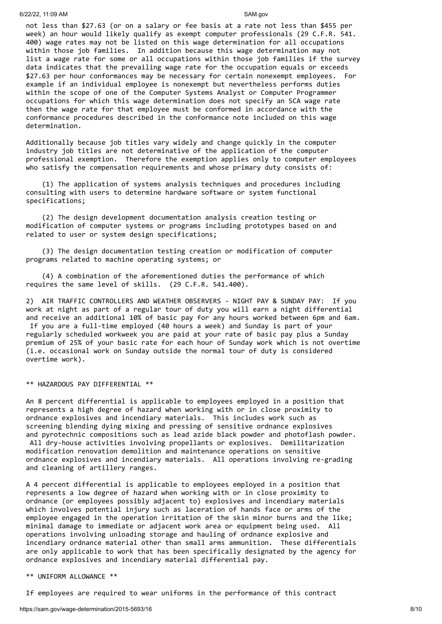not less than \$27.63 (or on a salary or fee basis at a rate not less than \$455 per week) an hour would likely qualify as exempt computer professionals (29 C.F.R. 541. 400) wage rates may not be listed on this wage determination for all occupations within those job families. In addition because this wage determination may not list a wage rate for some or all occupations within those job families if the survey data indicates that the prevailing wage rate for the occupation equals or exceeds \$27.63 per hour conformances may be necessary for certain nonexempt employees. For example if an individual employee is nonexempt but nevertheless performs duties within the scope of one of the Computer Systems Analyst or Computer Programmer occupations for which this wage determination does not specify an SCA wage rate then the wage rate for that employee must be conformed in accordance with the conformance procedures described in the conformance note included on this wage determination.

Additionally because job titles vary widely and change quickly in the computer industry job titles are not determinative of the application of the computer professional exemption. Therefore the exemption applies only to computer employees who satisfy the compensation requirements and whose primary duty consists of:

 (1) The application of systems analysis techniques and procedures including consulting with users to determine hardware software or system functional specifications;

 (2) The design development documentation analysis creation testing or modification of computer systems or programs including prototypes based on and related to user or system design specifications;

 (3) The design documentation testing creation or modification of computer programs related to machine operating systems; or

 (4) A combination of the aforementioned duties the performance of which requires the same level of skills. (29 C.F.R. 541.400).

2) AIR TRAFFIC CONTROLLERS AND WEATHER OBSERVERS - NIGHT PAY & SUNDAY PAY: If you work at night as part of a regular tour of duty you will earn a night differential and receive an additional 10% of basic pay for any hours worked between 6pm and 6am. If you are a full-time employed (40 hours a week) and Sunday is part of your regularly scheduled workweek you are paid at your rate of basic pay plus a Sunday premium of 25% of your basic rate for each hour of Sunday work which is not overtime (i.e. occasional work on Sunday outside the normal tour of duty is considered overtime work).

## \*\* HAZARDOUS PAY DIFFERENTIAL \*\*

An 8 percent differential is applicable to employees employed in a position that represents a high degree of hazard when working with or in close proximity to ordnance explosives and incendiary materials. This includes work such as screening blending dying mixing and pressing of sensitive ordnance explosives and pyrotechnic compositions such as lead azide black powder and photoflash powder. All dry-house activities involving propellants or explosives. Demilitarization modification renovation demolition and maintenance operations on sensitive ordnance explosives and incendiary materials. All operations involving re-grading and cleaning of artillery ranges.

A 4 percent differential is applicable to employees employed in a position that represents a low degree of hazard when working with or in close proximity to ordnance (or employees possibly adjacent to) explosives and incendiary materials which involves potential injury such as laceration of hands face or arms of the employee engaged in the operation irritation of the skin minor burns and the like; minimal damage to immediate or adjacent work area or equipment being used. All operations involving unloading storage and hauling of ordnance explosive and incendiary ordnance material other than small arms ammunition. These differentials are only applicable to work that has been specifically designated by the agency for ordnance explosives and incendiary material differential pay.

### \*\* UNIFORM ALLOWANCE \*\*

If employees are required to wear uniforms in the performance of this contract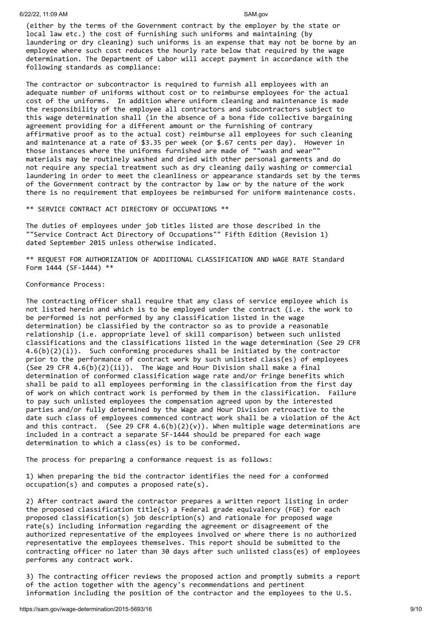(either by the terms of the Government contract by the employer by the state or local law etc.) the cost of furnishing such uniforms and maintaining (by laundering or dry cleaning) such uniforms is an expense that may not be borne by an employee where such cost reduces the hourly rate below that required by the wage determination. The Department of Labor will accept payment in accordance with the following standards as compliance:

The contractor or subcontractor is required to furnish all employees with an adequate number of uniforms without cost or to reimburse employees for the actual cost of the uniforms. In addition where uniform cleaning and maintenance is made the responsibility of the employee all contractors and subcontractors subject to this wage determination shall (in the absence of a bona fide collective bargaining agreement providing for a different amount or the furnishing of contrary affirmative proof as to the actual cost) reimburse all employees for such cleaning and maintenance at a rate of \$3.35 per week (or \$.67 cents per day). However in those instances where the uniforms furnished are made of ""wash and wear"" materials may be routinely washed and dried with other personal garments and do not require any special treatment such as dry cleaning daily washing or commercial laundering in order to meet the cleanliness or appearance standards set by the terms of the Government contract by the contractor by law or by the nature of the work there is no requirement that employees be reimbursed for uniform maintenance costs.

\*\* SERVICE CONTRACT ACT DIRECTORY OF OCCUPATIONS \*\*

The duties of employees under job titles listed are those described in the ""Service Contract Act Directory of Occupations"" Fifth Edition (Revision 1) dated September 2015 unless otherwise indicated.

\*\* REQUEST FOR AUTHORIZATION OF ADDITIONAL CLASSIFICATION AND WAGE RATE Standard Form 1444 (SF-1444) \*\*

Conformance Process:

The contracting officer shall require that any class of service employee which is not listed herein and which is to be employed under the contract (i.e. the work to be performed is not performed by any classification listed in the wage determination) be classified by the contractor so as to provide a reasonable relationship (i.e. appropriate level of skill comparison) between such unlisted classifications and the classifications listed in the wage determination (See 29 CFR  $4.6(b)(2)(i)$ . Such conforming procedures shall be initiated by the contractor prior to the performance of contract work by such unlisted class(es) of employees (See 29 CFR  $4.6(b)(2)(ii)$ ). The Wage and Hour Division shall make a final determination of conformed classification wage rate and/or fringe benefits which shall be paid to all employees performing in the classification from the first day of work on which contract work is performed by them in the classification. Failure to pay such unlisted employees the compensation agreed upon by the interested parties and/or fully determined by the Wage and Hour Division retroactive to the date such class of employees commenced contract work shall be a violation of the Act and this contract. (See 29 CFR  $4.6(b)(2)(v)$ ). When multiple wage determinations are included in a contract a separate SF-1444 should be prepared for each wage determination to which a class(es) is to be conformed.

The process for preparing a conformance request is as follows:

1) When preparing the bid the contractor identifies the need for a conformed occupation(s) and computes a proposed rate(s).

2) After contract award the contractor prepares a written report listing in order the proposed classification title(s) a Federal grade equivalency (FGE) for each proposed classification(s) job description(s) and rationale for proposed wage rate(s) including information regarding the agreement or disagreement of the authorized representative of the employees involved or where there is no authorized representative the employees themselves. This report should be submitted to the contracting officer no later than 30 days after such unlisted class(es) of employees performs any contract work.

3) The contracting officer reviews the proposed action and promptly submits a report of the action together with the agency's recommendations and pertinent information including the position of the contractor and the employees to the U.S.